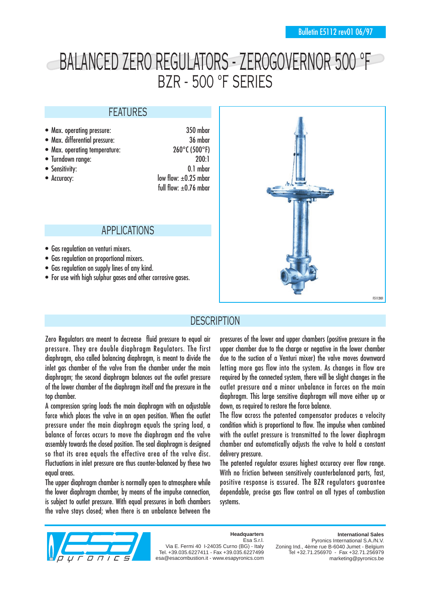# BALANCED ZERO REGULATORS - ZEROGOVERNOR 500 °F BZR - 500 °F SERIES

#### FEATURES

- Max. operating pressure: 350 mbar
- Max. differential pressure: 36 mbar
- Max. operating temperature: 260°C (500°F)
- 
- 
- 

• Turndown range: 200:1 • Sensitivity: 0.1 mbar • Accuracy: low flow:  $\pm 0.25$  mbar full flow:  $+0.76$  mbar

#### APPLICATIONS

- Gas regulation on venturi mixers.
- Gas regulation on proportional mixers.
- Gas regulation on supply lines of any kind.
- For use with high sulphur gases and other corrosive gases.



#### **DESCRIPTION**

Zero Regulators are meant to decrease fluid pressure to equal air pressure. They are double diaphragm Regulators. The first diaphragm, also called balancing diaphragm, is meant to divide the inlet gas chamber of the valve from the chamber under the main diaphragm; the second diaphragm balances out the outlet pressure of the lower chamber of the diaphragm itself and the pressure in the top chamber.

A compression spring loads the main diaphragm with an adjustable force which places the valve in an open position. When the outlet pressure under the main diaphragm equals the spring load, a balance of forces occurs to move the diaphragm and the valve assembly towards the closed position. The seal diaphragm is designed so that its area equals the effective area of the valve disc. Fluctuations in inlet pressure are thus counter-balanced by these two equal areas.

The upper diaphragm chamber is normally open to atmosphere while the lower diaphragm chamber, by means of the impulse connection, is subject to outlet pressure. With equal pressures in both chambers the valve stays closed; when there is an unbalance between the

pressures of the lower and upper chambers (positive pressure in the upper chamber due to the charge or negative in the lower chamber due to the suction of a Venturi mixer) the valve moves downward letting more gas flow into the system. As changes in flow are required by the connected system, there will be slight changes in the outlet pressure and a minor unbalance in forces on the main diaphragm. This large sensitive diaphragm will move either up or down, as required to restore the force balance.

The flow across the patented compensator produces a velocity condition which is proportional to flow. The impulse when combined with the outlet pressure is transmitted to the lower diaphragm chamber and automatically adjusts the valve to hold a constant delivery pressure.

The patented regulator assures highest accuracy over flow range. With no friction between sensitively counterbalanced parts, fast, positive response is assured. The BZR regulators guarantee dependable, precise gas flow control on all types of combustion systems.



#### **Headquarters** Esa S.r.l.

Via E. Fermi 40 I-24035 Curno (BG) - Italy Tel. +39.035.6227411 - Fax +39.035.6227499 esa@esacombustion.it - www.esapyronics.com

**International Sales** Pyronics International S.A./N.V. Zoning Ind., 4ème rue B-6040 Jumet - Belgium Tel +32.71.256970 - Fax +32.71.256979 marketing@pyronics.be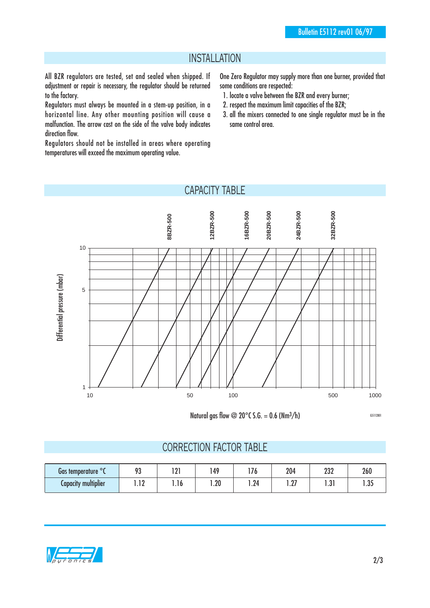#### INSTALLATION

All BZR regulators are tested, set and sealed when shipped. If adjustment or repair is necessary, the regulator should be returned to the factory.

Regulators must always be mounted in a stem-up position, in a horizontal line. Any other mounting position will cause a malfunction. The arrow cast on the side of the valve body indicates direction flow.

Regulators should not be installed in areas where operating temperatures will exceed the maximum operating value.

One Zero Regulator may supply more than one burner, provided that some conditions are respected:

- 1. locate a valve between the BZR and every burner;
- 2. respect the maximum limit capacities of the BZR;
- 3. all the mixers connected to one single regulator must be in the same control area.

### CAPACITY TABLE



Natural gas flow  $\omega$  20°C S.G. = 0.6 (Nm<sup>3</sup>/h)

#### CORRECTION FACTOR TABLE

| Gas temperature <sup>or</sup> | 02<br>/ J | ו ח<br>1 A I | , 49                  | י ד  | 204                   | 232          | 260           |
|-------------------------------|-----------|--------------|-----------------------|------|-----------------------|--------------|---------------|
| <b>Capacity multiplier</b>    | ה ד<br>.  | .10          | ົາດ<br>. . <i>L</i> U | 1.24 | . ∩⊤<br>I . <i>li</i> | ຸງ<br>ا ل. ا | . nr<br>ر ں ا |